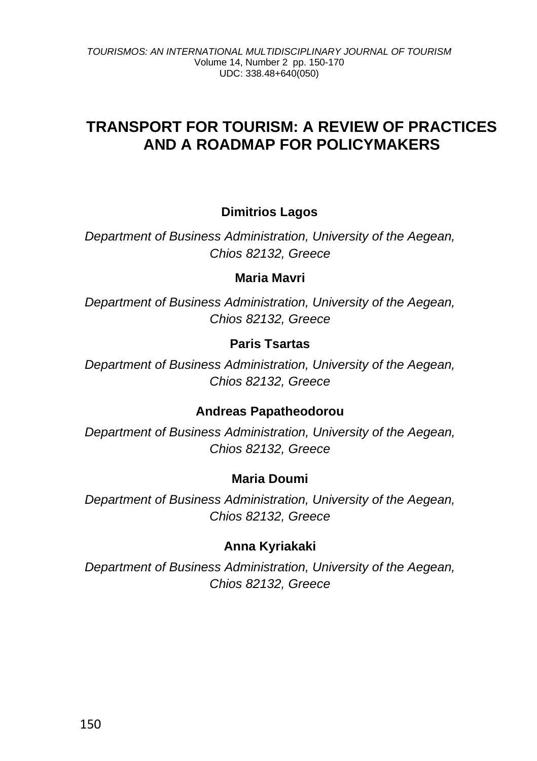# **TRANSPORT FOR TOURISM: A REVIEW OF PRACTICES AND A ROADMAP FOR POLICYMAKERS**

## **Dimitrios Lagos**

*Department of Business Administration, University of the Aegean, Chios 82132, Greece*

## **Maria Mavri**

*Department of Business Administration, University of the Aegean, Chios 82132, Greece*

## **Paris Tsartas**

*Department of Business Administration, University of the Aegean, Chios 82132, Greece*

## **Andreas Papatheodorou**

*Department of Business Administration, University of the Aegean, Chios 82132, Greece*

## **Maria Doumi**

*Department of Business Administration, University of the Aegean, Chios 82132, Greece*

## **Anna Kyriakaki**

*Department of Business Administration, University of the Aegean, Chios 82132, Greece*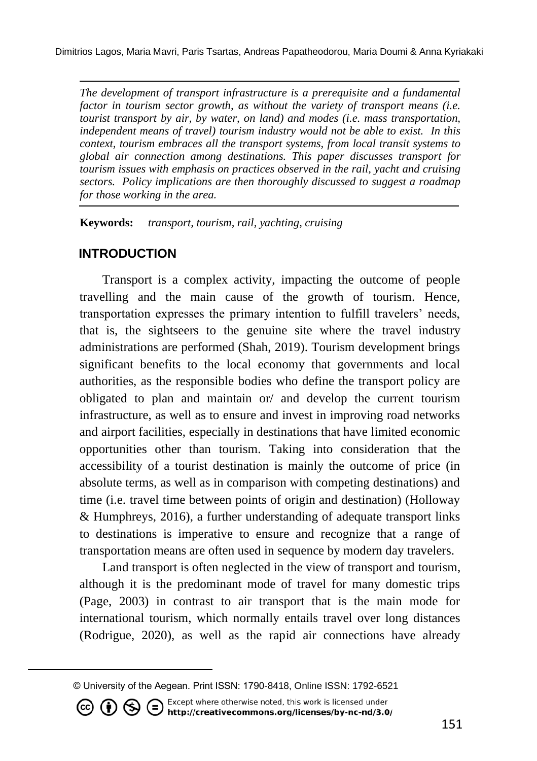*The development of transport infrastructure is a prerequisite and a fundamental factor in tourism sector growth, as without the variety of transport means (i.e. tourist transport by air, by water, on land) and modes (i.e. mass transportation, independent means of travel) tourism industry would not be able to exist. In this context, tourism embraces all the transport systems, from local transit systems to global air connection among destinations. This paper discusses transport for tourism issues with emphasis on practices observed in the rail, yacht and cruising sectors. Policy implications are then thoroughly discussed to suggest a roadmap for those working in the area.*

**Keywords:** *transport, tourism, rail, yachting, cruising*

## **4 INTRODUCTION**

Transport is a complex activity, impacting the outcome of people travelling and the main cause of the growth of tourism. Hence, transportation expresses the primary intention to fulfill travelers' needs, that is, the sightseers to the genuine site where the travel industry administrations are performed (Shah, 2019). Tourism development brings significant benefits to the local economy that governments and local authorities, as the responsible bodies who define the transport policy are obligated to plan and maintain or/ and develop the current tourism infrastructure, as well as to ensure and invest in improving road networks and airport facilities, especially in destinations that have limited economic opportunities other than tourism. Taking into consideration that the accessibility of a tourist destination is mainly the outcome of price (in absolute terms, as well as in comparison with competing destinations) and time (i.e. travel time between points of origin and destination) (Holloway & Humphreys, 2016), a further understanding of adequate transport links to destinations is imperative to ensure and recognize that a range of transportation means are often used in sequence by modern day travelers.

Land transport is often neglected in the view of transport and tourism, although it is the predominant mode of travel for many domestic trips (Page, 2003) in contrast to air transport that is the main mode for international tourism, which normally entails travel over long distances (Rodrigue, 2020), as well as the rapid air connections have already

Except where otherwise noted, this work is licensed under **1** S C Except where otherwise noted, this work is licensed under<br>http://creativecommons.org/licenses/by-nc-nd/3.0/

<sup>©</sup> University of the Aegean. Print ISSN: 1790-8418, Online ISSN: 1792-6521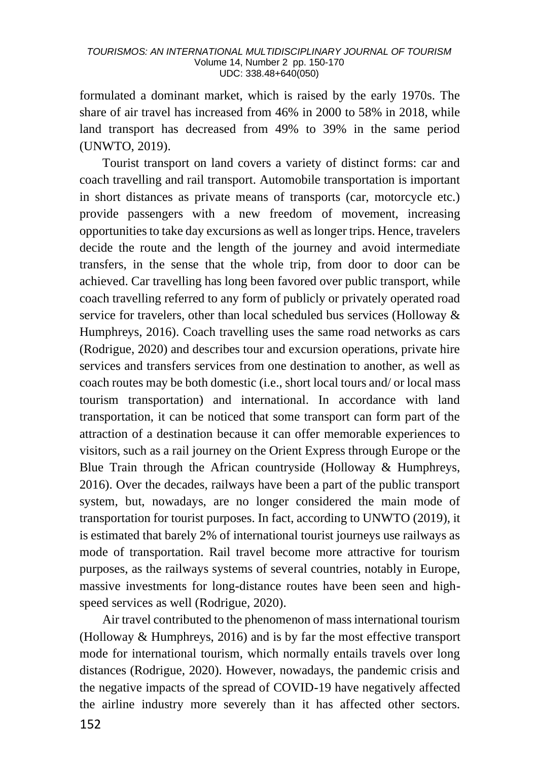formulated a dominant market, which is raised by the early 1970s. The share of air travel has increased from 46% in 2000 to 58% in 2018, while land transport has decreased from 49% to 39% in the same period (UNWTO, 2019).

Tourist transport on land covers a variety of distinct forms: car and coach travelling and rail transport. Automobile transportation is important in short distances as private means of transports (car, motorcycle etc.) provide passengers with a new freedom of movement, increasing opportunities to take day excursions as well as longer trips. Hence, travelers decide the route and the length of the journey and avoid intermediate transfers, in the sense that the whole trip, from door to door can be achieved. Car travelling has long been favored over public transport, while coach travelling referred to any form of publicly or privately operated road service for travelers, other than local scheduled bus services (Holloway & Humphreys, 2016). Coach travelling uses the same road networks as cars (Rodrigue, 2020) and describes tour and excursion operations, private hire services and transfers services from one destination to another, as well as coach routes may be both domestic (i.e., short local tours and/ or local mass tourism transportation) and international. In accordance with land transportation, it can be noticed that some transport can form part of the attraction of a destination because it can offer memorable experiences to visitors, such as a rail journey on the Orient Express through Europe or the Blue Train through the African countryside (Holloway & Humphreys, 2016). Over the decades, railways have been a part of the public transport system, but, nowadays, are no longer considered the main mode of transportation for tourist purposes. In fact, according to UNWTO (2019), it is estimated that barely 2% of international tourist journeys use railways as mode of transportation. Rail travel become more attractive for tourism purposes, as the railways systems of several countries, notably in Europe, massive investments for long-distance routes have been seen and highspeed services as well (Rodrigue, 2020).

Air travel contributed to the phenomenon of mass international tourism (Holloway & Humphreys, 2016) and is by far the most effective transport mode for international tourism, which normally entails travels over long distances (Rodrigue, 2020). However, nowadays, the pandemic crisis and the negative impacts of the spread of COVID-19 have negatively affected the airline industry more severely than it has affected other sectors.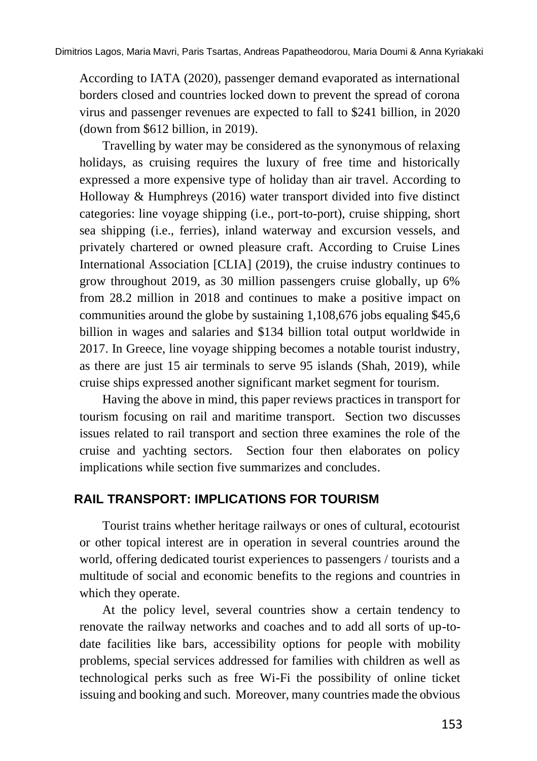According to IATA (2020), passenger demand evaporated as international borders closed and countries locked down to prevent the spread of corona virus and passenger revenues are expected to fall to \$241 billion, in 2020 (down from \$612 billion, in 2019).

Travelling by water may be considered as the synonymous of relaxing holidays, as cruising requires the luxury of free time and historically expressed a more expensive type of holiday than air travel. According to Holloway & Humphreys (2016) water transport divided into five distinct categories: line voyage shipping (i.e., port-to-port), cruise shipping, short sea shipping (i.e., ferries), inland waterway and excursion vessels, and privately chartered or owned pleasure craft. According to Cruise Lines International Association [CLIA] (2019), the cruise industry continues to grow throughout 2019, as 30 million passengers cruise globally, up 6% from 28.2 million in 2018 and continues to make a positive impact on communities around the globe by sustaining 1,108,676 jobs equaling \$45,6 billion in wages and salaries and \$134 billion total output worldwide in 2017. In Greece, line voyage shipping becomes a notable tourist industry, as there are just 15 air terminals to serve 95 islands (Shah, 2019), while cruise ships expressed another significant market segment for tourism.

Having the above in mind, this paper reviews practices in transport for tourism focusing on rail and maritime transport. Section two discusses issues related to rail transport and section three examines the role of the cruise and yachting sectors. Section four then elaborates on policy implications while section five summarizes and concludes.

## **RAIL TRANSPORT: IMPLICATIONS FOR TOURISM**

Tourist trains whether heritage railways or ones of cultural, ecotourist or other topical interest are in operation in several countries around the world, offering dedicated tourist experiences to passengers / tourists and a multitude of social and economic benefits to the regions and countries in which they operate.

At the policy level, several countries show a certain tendency to renovate the railway networks and coaches and to add all sorts of up-todate facilities like bars, accessibility options for people with mobility problems, special services addressed for families with children as well as technological perks such as free Wi-Fi the possibility of online ticket issuing and booking and such. Moreover, many countries made the obvious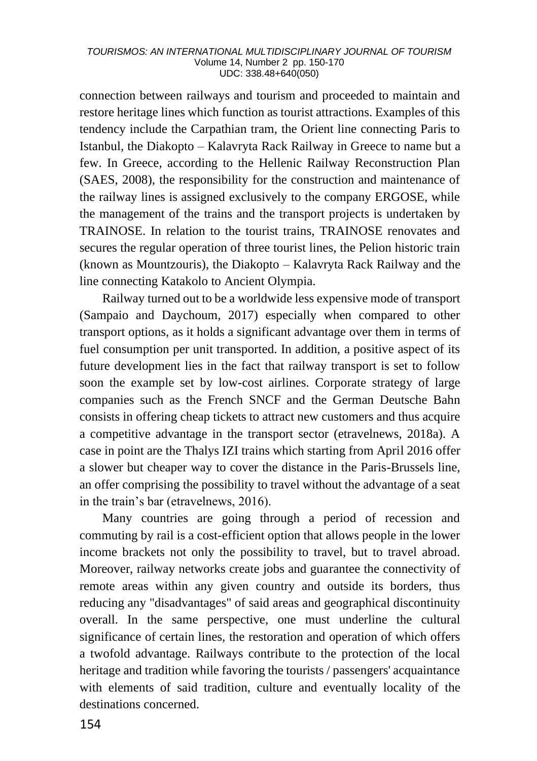#### *TOURISMOS: AN INTERNATIONAL MULTIDISCIPLINARY JOURNAL OF TOURISM* Volume 14, Number 2 pp. 150-170 UDC: 338.48+640(050)

connection between railways and tourism and proceeded to maintain and restore heritage lines which function as tourist attractions. Examples of this tendency include the Carpathian tram, the Orient line connecting Paris to Istanbul, the Diakopto – Kalavryta Rack Railway in Greece to name but a few. In Greece, according to the Hellenic Railway Reconstruction Plan (SAES, 2008), the responsibility for the construction and maintenance of the railway lines is assigned exclusively to the company ERGOSE, while the management of the trains and the transport projects is undertaken by TRAINOSE. In relation to the tourist trains, TRAINOSE renovates and secures the regular operation of three tourist lines, the Pelion historic train (known as Mountzouris), the Diakopto – Kalavryta Rack Railway and the line connecting Katakolo to Ancient Olympia.

Railway turned out to be a worldwide less expensive mode of transport (Sampaio and Daychoum, 2017) especially when compared to other transport options, as it holds a significant advantage over them in terms of fuel consumption per unit transported. In addition, a positive aspect of its future development lies in the fact that railway transport is set to follow soon the example set by low-cost airlines. Corporate strategy of large companies such as the French SNCF and the German Deutsche Bahn consists in offering cheap tickets to attract new customers and thus acquire a competitive advantage in the transport sector (etravelnews, 2018a). A case in point are the Thalys IZI trains which starting from April 2016 offer a slower but cheaper way to cover the distance in the Paris-Brussels line, an offer comprising the possibility to travel without the advantage of a seat in the train's bar (etravelnews, 2016).

Many countries are going through a period of recession and commuting by rail is a cost-efficient option that allows people in the lower income brackets not only the possibility to travel, but to travel abroad. Moreover, railway networks create jobs and guarantee the connectivity of remote areas within any given country and outside its borders, thus reducing any "disadvantages" of said areas and geographical discontinuity overall. In the same perspective, one must underline the cultural significance of certain lines, the restoration and operation of which offers a twofold advantage. Railways contribute to the protection of the local heritage and tradition while favoring the tourists / passengers' acquaintance with elements of said tradition, culture and eventually locality of the destinations concerned.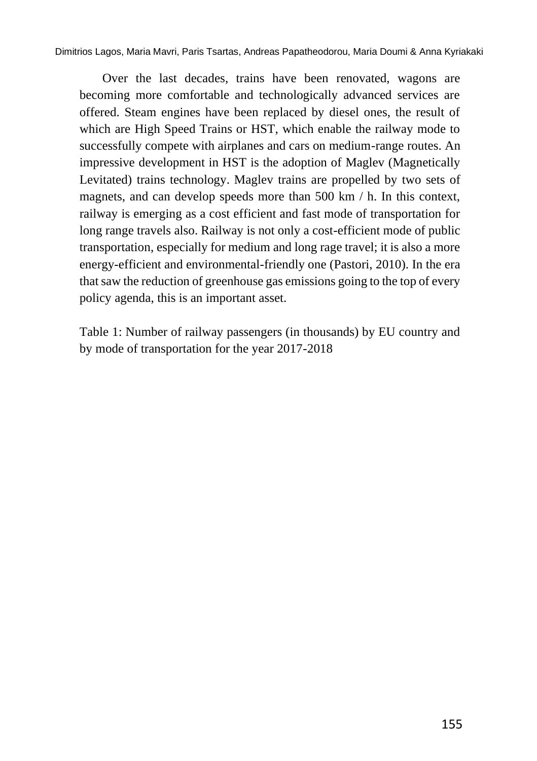Dimitrios Lagos, Maria Mavri, Paris Tsartas, Andreas Papatheodorou, Maria Doumi & Anna Kyriakaki

Over the last decades, trains have been renovated, wagons are becoming more comfortable and technologically advanced services are offered. Steam engines have been replaced by diesel ones, the result of which are High Speed Trains or HST, which enable the railway mode to successfully compete with airplanes and cars on medium-range routes. An impressive development in HST is the adoption of Maglev (Magnetically Levitated) trains technology. Maglev trains are propelled by two sets of magnets, and can develop speeds more than 500 km / h. In this context, railway is emerging as a cost efficient and fast mode of transportation for long range travels also. Railway is not only a cost-efficient mode of public transportation, especially for medium and long rage travel; it is also a more energy-efficient and environmental-friendly one (Pastori, 2010). In the era that saw the reduction of greenhouse gas emissions going to the top of every policy agenda, this is an important asset.

Table 1: Number of railway passengers (in thousands) by EU country and by mode of transportation for the year 2017-2018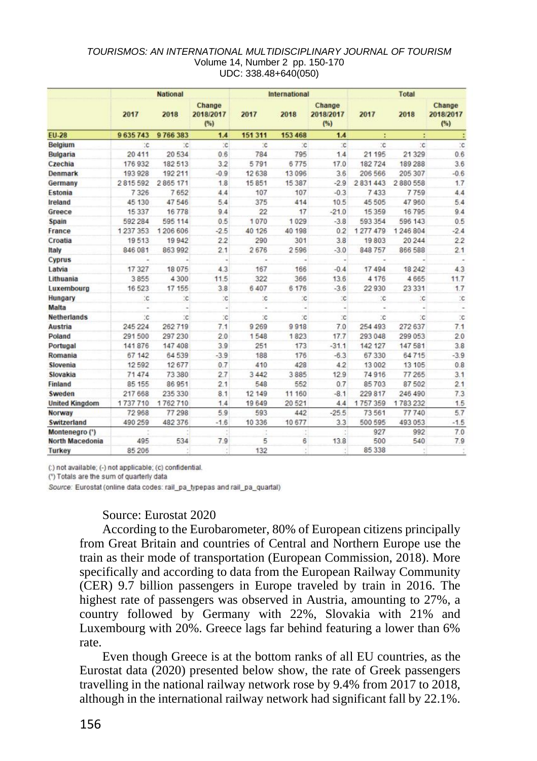#### *TOURISMOS: AN INTERNATIONAL MULTIDISCIPLINARY JOURNAL OF TOURISM* Volume 14, Number 2 pp. 150-170 UDC: 338.48+640(050)

|                        | <b>National</b> |              |                             | <b>International</b> |                |                             | <b>Total</b>      |              |                            |
|------------------------|-----------------|--------------|-----------------------------|----------------------|----------------|-----------------------------|-------------------|--------------|----------------------------|
|                        | 2017            | 2018         | Change<br>2018/2017<br>(96) | 2017                 | 2018           | Change<br>2018/2017<br>(96) | 2017              | 2018         | Change<br>2018/2017<br>(%) |
| <b>EU-28</b>           | 9635743         | 9766383      | 1.4                         | 151 311              | 153 468        | 1.4                         | ÷                 |              |                            |
| <b>Belgium</b>         | :c              | $\mathbf{c}$ | $\infty$                    | to:                  | $\overline{c}$ | C                           | $\overline{c}$    | :c           | $\overline{c}$             |
| Bulgaria               | 20 411          | 20 5 34      | 0.6                         | 784                  | 795            | 14                          | 21 195            | 21 3 29      | 0.6                        |
| Czechia                | 176932          | 182 513      | 3.2                         | 5791                 | 6775           | 17.0                        | 182724            | 189 288      | 3.6                        |
| Denmark                | 193 928         | 192 211      | $-0.9$                      | 12638                | 13 096         | 3.6                         | 206 566           | 205 307      | $-0.6$                     |
| Germany                | 2815592         | 2865171      | 1.8                         | 15851                | 15 387         | $-2.9$                      | 2831443           | 2880558      | 1.7                        |
| Estonia                | 7 3 2 6         | 7652         | 4.4                         | 107                  | 107            | $-0.3$                      | 7433              | 7759         | 4.4                        |
| Ireland                | 45 130          | 47546        | 5.4                         | 375                  | 414            | 10.5                        | 45 505            | 47960        | 5.4                        |
| Greece                 | 15 3 3 7        | 16778        | 9.4                         | 22                   | 17             | $-21.0$                     | 15 3 5 9          | 16795        | 9.4                        |
| Spain                  | 592 284         | 595 114      | 0.5                         | 1070                 | 1029           | $-3.8$                      | 593 354           | 596 143      | 0.5                        |
| France                 | 1 2 3 7 3 5 3   | 1 206 606    | $-2.5$                      | 40 126               | 40 198         | 0.2                         | 1 277 479         | 1246804      | $-2.4$                     |
| Croatia                | 19513           | 19942        | 2.2                         | 290                  | 301            | 3.8                         | 19803             | 20 244       | 2.2                        |
| Italy                  | 846 081         | 863 992      | 2.1                         | 2676                 | 2596           | $-3.0$                      | 848757            | 866 588      | 2.1                        |
| <b>Cyprus</b>          | $\overline{a}$  |              |                             |                      |                |                             |                   |              |                            |
| Latvia                 | 17 3 27         | 18075        | 4.3                         | 167                  | 166            | $-0.4$                      | 17494             | 18 24 2      | 4.3                        |
| Lithuania              | 3855            | 4 3 0 0      | 11.5                        | 322                  | 366            | 13.6                        | 4 176             | 4665         | 11.7                       |
| Luxembourg             | 16 523          | 17 155       | 3.8                         | 6 407                | 6 176          | $-3.6$                      | 22930             | 23 331       | 1.7                        |
| Hungary                | C               | C            | $\infty$                    | $\mathcal{C}$        | $\ddot{c}$     | $\mathbf{C}$                | $\ddot{\text{c}}$ | :c           | $\overline{C}$             |
| <b>Malta</b>           | à,              | ä,           | ä,                          | ×.                   | ä,             | u,                          | ×,                | u            | ÷                          |
| <b>Netherlands</b>     | 'c              | $^{\circ}$ c | C                           | te.                  | $\overline{C}$ | :c                          | $\overline{c}$    | $^{\circ}$ c | ${\rm C}$                  |
| <b>Austria</b>         | 245 224         | 262719       | 7.1                         | 9 2 6 9              | 9918           | 7.0                         | 254 493           | 272 637      | 7.1                        |
| Poland                 | 291 500         | 297 230      | 2.0                         | 1548                 | 1823           | 17.7                        | 293 048           | 299 053      | 2.0                        |
| Portugal               | 141876          | 147 408      | 3.9                         | 251                  | 173            | $-31.1$                     | 142 127           | 147 581      | 3.8                        |
| Romania                | 67 142          | 64 539       | $-3.9$                      | 188                  | 176            | $-6.3$                      | 67 330            | 64715        | $-3.9$                     |
| Slovenia               | 12592           | 12677        | 0.7                         | 410                  | 428            | 4.2                         | 13 002            | 13 10 5      | 0.8                        |
| Slovakia               | 71474           | 73 380       | 2.7                         | 3 4 4 2              | 3885           | 12.9                        | 74916             | 77 265       | 3.1                        |
| <b>Finland</b>         | 85 155          | 86 951       | 2.1                         | 548                  | 552            | 0.7                         | 85703             | 87502        | 2.1                        |
| Sweden                 | 217 668         | 235 330      | 8.1                         | 12 14 9              | 11 160         | $-8.1$                      | 229 817           | 246 490      | 7.3                        |
| <b>United Kingdom</b>  | 1737710         | 1762710      | 1.4                         | 19649                | 20 521         | 4.4                         | 1757359           | 1783 232     | 1.5                        |
| <b>Norway</b>          | 72968           | 77 298       | 5.9                         | 593                  | 442            | $-25.5$                     | 73 561            | 77740        | 5.7                        |
| Switzerland            | 490 259         | 482 376      | $-1.6$                      | 10 3 36              | 10 677         | 33                          | 500 595           | 493 053      | $-1.5$                     |
| Montenegro (')         |                 |              |                             |                      | ×.             | y.                          | 927               | 992          | 7.0                        |
| <b>North Macedonia</b> | 495             | 534          | 7.9                         | 5                    | 6              | 13.8                        | 500               | 540          | 7.9                        |
| Turkey                 | 85 206          |              |                             | 132                  | ÷              |                             | 85 338            |              |                            |

(:) not available: (-) not applicable: (c) confidential.

(\*) Totals are the sum of quarterly data

Source: Eurostat (online data codes: rail\_pa\_typepas and rail\_pa\_quartal)

#### Source: Eurostat 2020

According to the Eurobarometer, 80% of European citizens principally from Great Britain and countries of Central and Northern Europe use the train as their mode of transportation (European Commission, 2018). More specifically and according to data from the European Railway Community (CER) 9.7 billion passengers in Europe traveled by train in 2016. The highest rate of passengers was observed in Austria, amounting to 27%, a country followed by Germany with 22%, Slovakia with 21% and Luxembourg with 20%. Greece lags far behind featuring a lower than 6% rate.

Even though Greece is at the bottom ranks of all EU countries, as the Eurostat data (2020) presented below show, the rate of Greek passengers travelling in the national railway network rose by 9.4% from 2017 to 2018, although in the international railway network had significant fall by 22.1%.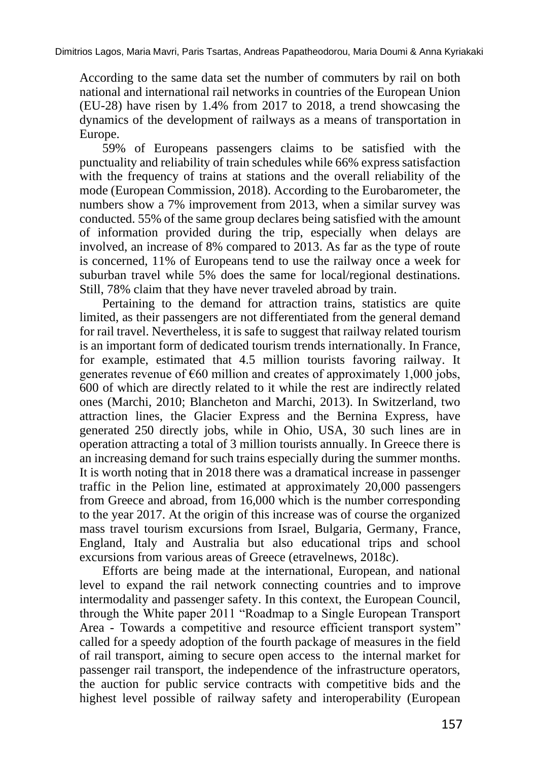According to the same data set the number of commuters by rail on both national and international rail networks in countries of the European Union (EU-28) have risen by 1.4% from 2017 to 2018, a trend showcasing the dynamics of the development of railways as a means of transportation in Europe.

59% of Europeans passengers claims to be satisfied with the punctuality and reliability of train schedules while 66% express satisfaction with the frequency of trains at stations and the overall reliability of the mode (European Commission, 2018). According to the Eurobarometer, the numbers show a 7% improvement from 2013, when a similar survey was conducted. 55% of the same group declares being satisfied with the amount of information provided during the trip, especially when delays are involved, an increase of 8% compared to 2013. As far as the type of route is concerned, 11% of Europeans tend to use the railway once a week for suburban travel while 5% does the same for local/regional destinations. Still, 78% claim that they have never traveled abroad by train.

Pertaining to the demand for attraction trains, statistics are quite limited, as their passengers are not differentiated from the general demand for rail travel. Nevertheless, it is safe to suggest that railway related tourism is an important form of dedicated tourism trends internationally. In France, for example, estimated that 4.5 million tourists favoring railway. It generates revenue of  $\epsilon$ 60 million and creates of approximately 1,000 jobs, 600 of which are directly related to it while the rest are indirectly related ones (Marchi, 2010; Blancheton and Marchi, 2013). In Switzerland, two attraction lines, the Glacier Express and the Bernina Express, have generated 250 directly jobs, while in Ohio, USA, 30 such lines are in operation attracting a total of 3 million tourists annually. In Greece there is an increasing demand for such trains especially during the summer months. It is worth noting that in 2018 there was a dramatical increase in passenger traffic in the Pelion line, estimated at approximately 20,000 passengers from Greece and abroad, from 16,000 which is the number corresponding to the year 2017. At the origin of this increase was of course the organized mass travel tourism excursions from Israel, Bulgaria, Germany, France, England, Italy and Australia but also educational trips and school excursions from various areas of Greece (etravelnews, 2018c).

Efforts are being made at the international, European, and national level to expand the rail network connecting countries and to improve intermodality and passenger safety. In this context, the European Council, through the White paper 2011 "Roadmap to a Single European Transport Area - Towards a competitive and resource efficient transport system" called for a speedy adoption of the fourth package of measures in the field of rail transport, aiming to secure open access to the internal market for passenger rail transport, the independence of the infrastructure operators, the auction for public service contracts with competitive bids and the highest level possible of railway safety and interoperability (European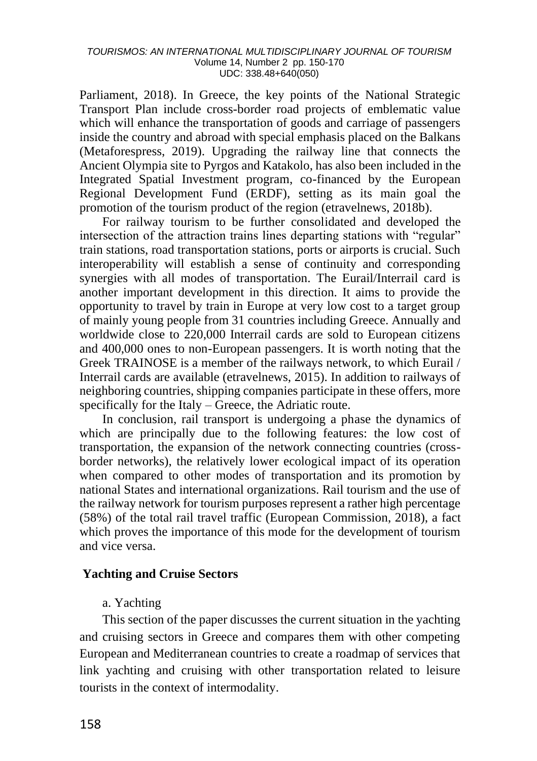Parliament, 2018). In Greece, the key points of the National Strategic Transport Plan include cross-border road projects of emblematic value which will enhance the transportation of goods and carriage of passengers inside the country and abroad with special emphasis placed on the Balkans (Metaforespress, 2019). Upgrading the railway line that connects the Ancient Olympia site to Pyrgos and Katakolo, has also been included in the Integrated Spatial Investment program, co-financed by the European Regional Development Fund (ERDF), setting as its main goal the promotion of the tourism product of the region (etravelnews, 2018b).

For railway tourism to be further consolidated and developed the intersection of the attraction trains lines departing stations with "regular" train stations, road transportation stations, ports or airports is crucial. Such interoperability will establish a sense of continuity and corresponding synergies with all modes of transportation. The Eurail/Interrail card is another important development in this direction. It aims to provide the opportunity to travel by train in Europe at very low cost to a target group of mainly young people from 31 countries including Greece. Annually and worldwide close to 220,000 Interrail cards are sold to European citizens and 400,000 ones to non-European passengers. It is worth noting that the Greek TRAINOSE is a member of the railways network, to which Eurail / Interrail cards are available (etravelnews, 2015). In addition to railways of neighboring countries, shipping companies participate in these offers, more specifically for the Italy – Greece, the Adriatic route.

In conclusion, rail transport is undergoing a phase the dynamics of which are principally due to the following features: the low cost of transportation, the expansion of the network connecting countries (crossborder networks), the relatively lower ecological impact of its operation when compared to other modes of transportation and its promotion by national States and international organizations. Rail tourism and the use of the railway network for tourism purposes represent a rather high percentage (58%) of the total rail travel traffic (European Commission, 2018), a fact which proves the importance of this mode for the development of tourism and vice versa.

### **Yachting and Cruise Sectors**

### a. Yachting

This section of the paper discusses the current situation in the yachting and cruising sectors in Greece and compares them with other competing European and Mediterranean countries to create a roadmap of services that link yachting and cruising with other transportation related to leisure tourists in the context of intermodality.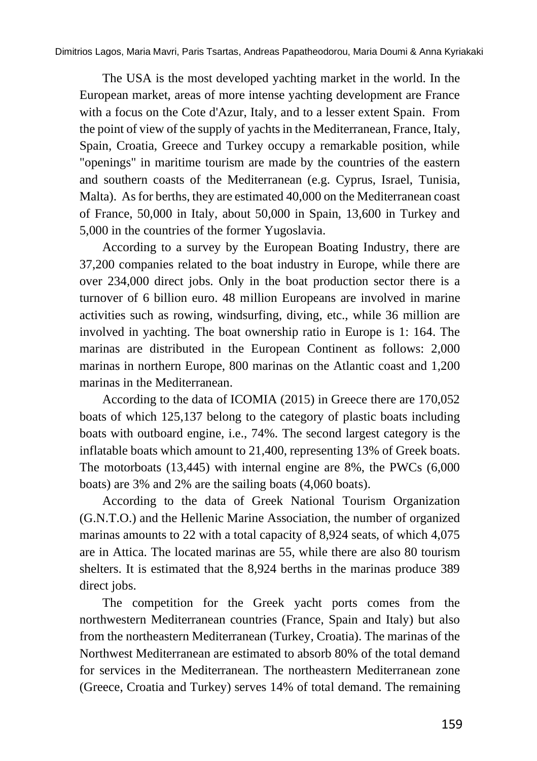The USA is the most developed yachting market in the world. In the European market, areas of more intense yachting development are France with a focus on the Cote d'Azur, Italy, and to a lesser extent Spain. From the point of view of the supply of yachts in the Mediterranean, France, Italy, Spain, Croatia, Greece and Turkey occupy a remarkable position, while "openings" in maritime tourism are made by the countries of the eastern and southern coasts of the Mediterranean (e.g. Cyprus, Israel, Tunisia, Malta). As for berths, they are estimated 40,000 on the Mediterranean coast of France, 50,000 in Italy, about 50,000 in Spain, 13,600 in Turkey and 5,000 in the countries of the former Yugoslavia.

According to a survey by the European Boating Industry, there are 37,200 companies related to the boat industry in Europe, while there are over 234,000 direct jobs. Only in the boat production sector there is a turnover of 6 billion euro. 48 million Europeans are involved in marine activities such as rowing, windsurfing, diving, etc., while 36 million are involved in yachting. The boat ownership ratio in Europe is 1: 164. The marinas are distributed in the European Continent as follows: 2,000 marinas in northern Europe, 800 marinas on the Atlantic coast and 1,200 marinas in the Mediterranean.

According to the data of ICOMIA (2015) in Greece there are 170,052 boats of which 125,137 belong to the category of plastic boats including boats with outboard engine, i.e., 74%. The second largest category is the inflatable boats which amount to 21,400, representing 13% of Greek boats. The motorboats (13,445) with internal engine are 8%, the PWCs (6,000 boats) are 3% and 2% are the sailing boats (4,060 boats).

According to the data of Greek National Tourism Organization (G.N.T.O.) and the Hellenic Marine Association, the number of organized marinas amounts to 22 with a total capacity of 8,924 seats, of which 4,075 are in Attica. The located marinas are 55, while there are also 80 tourism shelters. It is estimated that the 8,924 berths in the marinas produce 389 direct jobs.

The competition for the Greek yacht ports comes from the northwestern Mediterranean countries (France, Spain and Italy) but also from the northeastern Mediterranean (Turkey, Croatia). The marinas of the Northwest Mediterranean are estimated to absorb 80% of the total demand for services in the Mediterranean. The northeastern Mediterranean zone (Greece, Croatia and Turkey) serves 14% of total demand. The remaining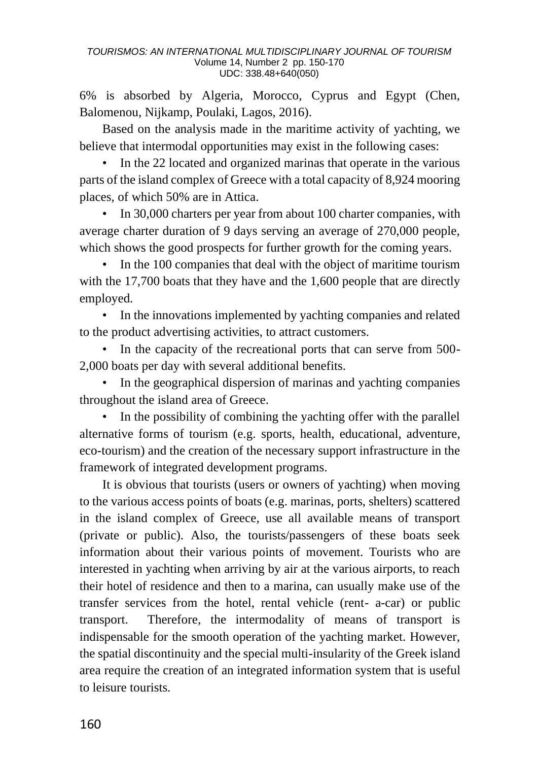6% is absorbed by Algeria, Morocco, Cyprus and Egypt (Chen, Balomenou, Nijkamp, Poulaki, Lagos, 2016).

Based on the analysis made in the maritime activity of yachting, we believe that intermodal opportunities may exist in the following cases:

• In the 22 located and organized marinas that operate in the various parts of the island complex of Greece with a total capacity of 8,924 mooring places, of which 50% are in Attica.

• In 30,000 charters per year from about 100 charter companies, with average charter duration of 9 days serving an average of 270,000 people, which shows the good prospects for further growth for the coming years.

• In the 100 companies that deal with the object of maritime tourism with the 17,700 boats that they have and the 1,600 people that are directly employed.

• In the innovations implemented by yachting companies and related to the product advertising activities, to attract customers.

• In the capacity of the recreational ports that can serve from 500- 2,000 boats per day with several additional benefits.

• In the geographical dispersion of marinas and yachting companies throughout the island area of Greece.

• In the possibility of combining the yachting offer with the parallel alternative forms of tourism (e.g. sports, health, educational, adventure, eco-tourism) and the creation of the necessary support infrastructure in the framework of integrated development programs.

It is obvious that tourists (users or owners of yachting) when moving to the various access points of boats (e.g. marinas, ports, shelters) scattered in the island complex of Greece, use all available means of transport (private or public). Also, the tourists/passengers of these boats seek information about their various points of movement. Tourists who are interested in yachting when arriving by air at the various airports, to reach their hotel of residence and then to a marina, can usually make use of the transfer services from the hotel, rental vehicle (rent- a-car) or public transport. Therefore, the intermodality of means of transport is indispensable for the smooth operation of the yachting market. However, the spatial discontinuity and the special multi-insularity of the Greek island area require the creation of an integrated information system that is useful to leisure tourists.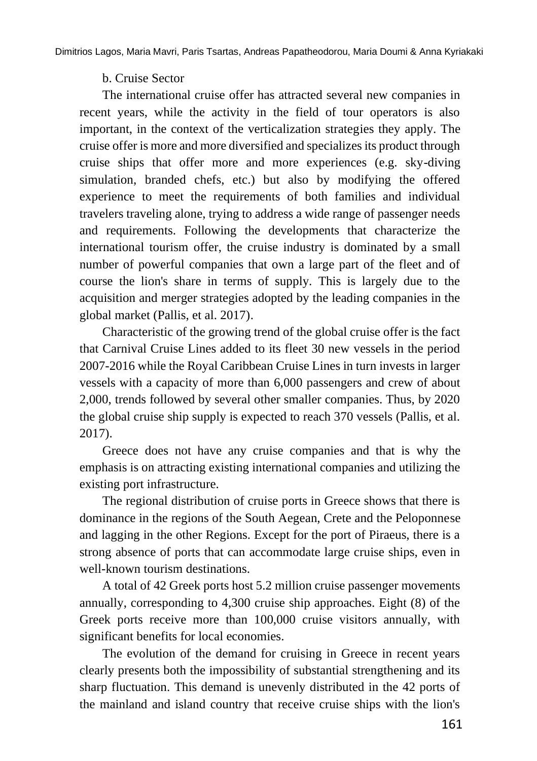### b. Cruise Sector

The international cruise offer has attracted several new companies in recent years, while the activity in the field of tour operators is also important, in the context of the verticalization strategies they apply. The cruise offer is more and more diversified and specializes its product through cruise ships that offer more and more experiences (e.g. sky-diving simulation, branded chefs, etc.) but also by modifying the offered experience to meet the requirements of both families and individual travelers traveling alone, trying to address a wide range of passenger needs and requirements. Following the developments that characterize the international tourism offer, the cruise industry is dominated by a small number of powerful companies that own a large part of the fleet and of course the lion's share in terms of supply. This is largely due to the acquisition and merger strategies adopted by the leading companies in the global market (Pallis, et al. 2017).

Characteristic of the growing trend of the global cruise offer is the fact that Carnival Cruise Lines added to its fleet 30 new vessels in the period 2007-2016 while the Royal Caribbean Cruise Lines in turn invests in larger vessels with a capacity of more than 6,000 passengers and crew of about 2,000, trends followed by several other smaller companies. Thus, by 2020 the global cruise ship supply is expected to reach 370 vessels (Pallis, et al. 2017).

Greece does not have any cruise companies and that is why the emphasis is on attracting existing international companies and utilizing the existing port infrastructure.

The regional distribution of cruise ports in Greece shows that there is dominance in the regions of the South Aegean, Crete and the Peloponnese and lagging in the other Regions. Except for the port of Piraeus, there is a strong absence of ports that can accommodate large cruise ships, even in well-known tourism destinations.

A total of 42 Greek ports host 5.2 million cruise passenger movements annually, corresponding to 4,300 cruise ship approaches. Eight (8) of the Greek ports receive more than 100,000 cruise visitors annually, with significant benefits for local economies.

The evolution of the demand for cruising in Greece in recent years clearly presents both the impossibility of substantial strengthening and its sharp fluctuation. This demand is unevenly distributed in the 42 ports of the mainland and island country that receive cruise ships with the lion's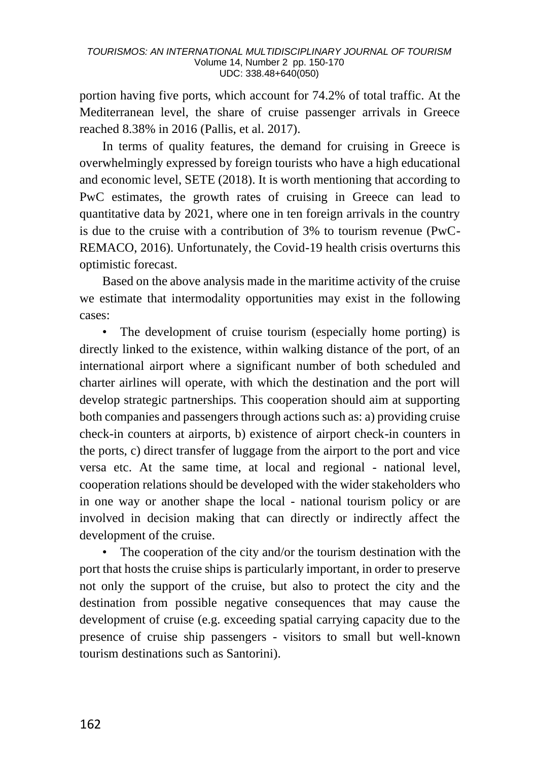portion having five ports, which account for 74.2% of total traffic. At the Mediterranean level, the share of cruise passenger arrivals in Greece reached 8.38% in 2016 (Pallis, et al. 2017).

In terms of quality features, the demand for cruising in Greece is overwhelmingly expressed by foreign tourists who have a high educational and economic level, SETE (2018). It is worth mentioning that according to PwC estimates, the growth rates of cruising in Greece can lead to quantitative data by 2021, where one in ten foreign arrivals in the country is due to the cruise with a contribution of 3% to tourism revenue (PwC-REMACO, 2016). Unfortunately, the Covid-19 health crisis overturns this optimistic forecast.

Based on the above analysis made in the maritime activity of the cruise we estimate that intermodality opportunities may exist in the following cases:

• The development of cruise tourism (especially home porting) is directly linked to the existence, within walking distance of the port, of an international airport where a significant number of both scheduled and charter airlines will operate, with which the destination and the port will develop strategic partnerships. This cooperation should aim at supporting both companies and passengers through actions such as: a) providing cruise check-in counters at airports, b) existence of airport check-in counters in the ports, c) direct transfer of luggage from the airport to the port and vice versa etc. At the same time, at local and regional - national level, cooperation relations should be developed with the wider stakeholders who in one way or another shape the local - national tourism policy or are involved in decision making that can directly or indirectly affect the development of the cruise.

The cooperation of the city and/or the tourism destination with the port that hosts the cruise ships is particularly important, in order to preserve not only the support of the cruise, but also to protect the city and the destination from possible negative consequences that may cause the development of cruise (e.g. exceeding spatial carrying capacity due to the presence of cruise ship passengers - visitors to small but well-known tourism destinations such as Santorini).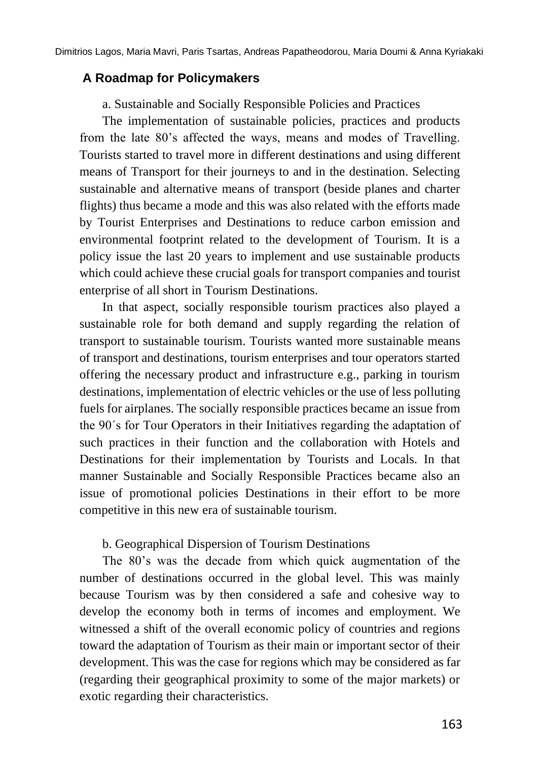## **A Roadmap for Policymakers**

a. Sustainable and Socially Responsible Policies and Practices

The implementation of sustainable policies, practices and products from the late 80's affected the ways, means and modes of Travelling. Tourists started to travel more in different destinations and using different means of Transport for their journeys to and in the destination. Selecting sustainable and alternative means of transport (beside planes and charter flights) thus became a mode and this was also related with the efforts made by Tourist Enterprises and Destinations to reduce carbon emission and environmental footprint related to the development of Tourism. It is a policy issue the last 20 years to implement and use sustainable products which could achieve these crucial goals for transport companies and tourist enterprise of all short in Tourism Destinations.

In that aspect, socially responsible tourism practices also played a sustainable role for both demand and supply regarding the relation of transport to sustainable tourism. Tourists wanted more sustainable means of transport and destinations, tourism enterprises and tour operators started offering the necessary product and infrastructure e.g., parking in tourism destinations, implementation of electric vehicles or the use of less polluting fuels for airplanes. The socially responsible practices became an issue from the 90΄s for Tour Operators in their Initiatives regarding the adaptation of such practices in their function and the collaboration with Hotels and Destinations for their implementation by Tourists and Locals. In that manner Sustainable and Socially Responsible Practices became also an issue of promotional policies Destinations in their effort to be more competitive in this new era of sustainable tourism.

### b. Geographical Dispersion of Tourism Destinations

The 80's was the decade from which quick augmentation of the number of destinations occurred in the global level. This was mainly because Tourism was by then considered a safe and cohesive way to develop the economy both in terms of incomes and employment. We witnessed a shift of the overall economic policy of countries and regions toward the adaptation of Tourism as their main or important sector of their development. This was the case for regions which may be considered as far (regarding their geographical proximity to some of the major markets) or exotic regarding their characteristics.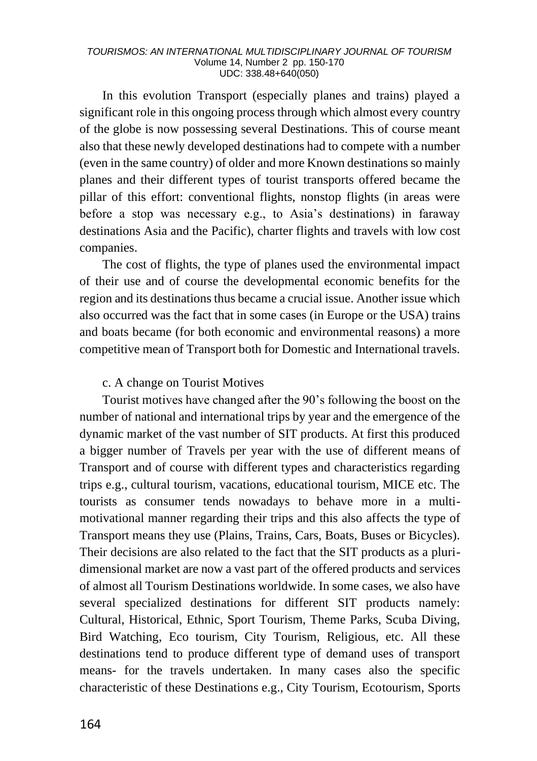#### *TOURISMOS: AN INTERNATIONAL MULTIDISCIPLINARY JOURNAL OF TOURISM* Volume 14, Number 2 pp. 150-170 UDC: 338.48+640(050)

In this evolution Transport (especially planes and trains) played a significant role in this ongoing process through which almost every country of the globe is now possessing several Destinations. This of course meant also that these newly developed destinations had to compete with a number (even in the same country) of older and more Known destinations so mainly planes and their different types of tourist transports offered became the pillar of this effort: conventional flights, nonstop flights (in areas were before a stop was necessary e.g., to Asia's destinations) in faraway destinations Asia and the Pacific), charter flights and travels with low cost companies.

The cost of flights, the type of planes used the environmental impact of their use and of course the developmental economic benefits for the region and its destinations thus became a crucial issue. Another issue which also occurred was the fact that in some cases (in Europe or the USA) trains and boats became (for both economic and environmental reasons) a more competitive mean of Transport both for Domestic and International travels.

#### c. A change on Tourist Motives

Tourist motives have changed after the 90's following the boost on the number of national and international trips by year and the emergence of the dynamic market of the vast number of SIT products. At first this produced a bigger number of Travels per year with the use of different means of Transport and of course with different types and characteristics regarding trips e.g., cultural tourism, vacations, educational tourism, MICE etc. The tourists as consumer tends nowadays to behave more in a multimotivational manner regarding their trips and this also affects the type of Transport means they use (Plains, Trains, Cars, Boats, Buses or Bicycles). Their decisions are also related to the fact that the SIT products as a pluridimensional market are now a vast part of the offered products and services of almost all Tourism Destinations worldwide. In some cases, we also have several specialized destinations for different SIT products namely: Cultural, Historical, Ethnic, Sport Tourism, Theme Parks, Scuba Diving, Bird Watching, Eco tourism, City Tourism, Religious, etc. All these destinations tend to produce different type of demand uses of transport means- for the travels undertaken. In many cases also the specific characteristic of these Destinations e.g., City Tourism, Ecotourism, Sports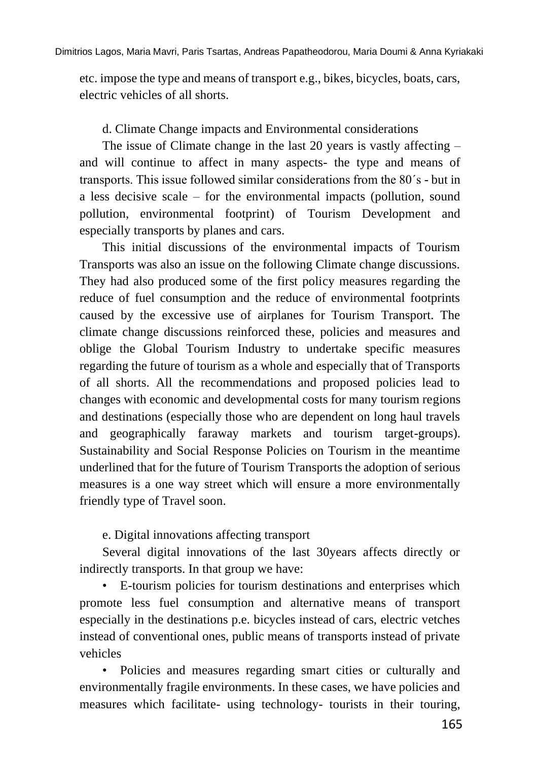etc. impose the type and means of transport e.g., bikes, bicycles, boats, cars, electric vehicles of all shorts.

d. Climate Change impacts and Environmental considerations

The issue of Climate change in the last 20 years is vastly affecting – and will continue to affect in many aspects- the type and means of transports. This issue followed similar considerations from the 80΄s - but in a less decisive scale – for the environmental impacts (pollution, sound pollution, environmental footprint) of Tourism Development and especially transports by planes and cars.

This initial discussions of the environmental impacts of Tourism Transports was also an issue on the following Climate change discussions. They had also produced some of the first policy measures regarding the reduce of fuel consumption and the reduce of environmental footprints caused by the excessive use of airplanes for Tourism Transport. The climate change discussions reinforced these, policies and measures and oblige the Global Tourism Industry to undertake specific measures regarding the future of tourism as a whole and especially that of Transports of all shorts. All the recommendations and proposed policies lead to changes with economic and developmental costs for many tourism regions and destinations (especially those who are dependent on long haul travels and geographically faraway markets and tourism target-groups). Sustainability and Social Response Policies on Tourism in the meantime underlined that for the future of Tourism Transports the adoption of serious measures is a one way street which will ensure a more environmentally friendly type of Travel soon.

e. Digital innovations affecting transport

Several digital innovations of the last 30years affects directly or indirectly transports. In that group we have:

• E-tourism policies for tourism destinations and enterprises which promote less fuel consumption and alternative means of transport especially in the destinations p.e. bicycles instead of cars, electric vetches instead of conventional ones, public means of transports instead of private vehicles

• Policies and measures regarding smart cities or culturally and environmentally fragile environments. In these cases, we have policies and measures which facilitate- using technology- tourists in their touring,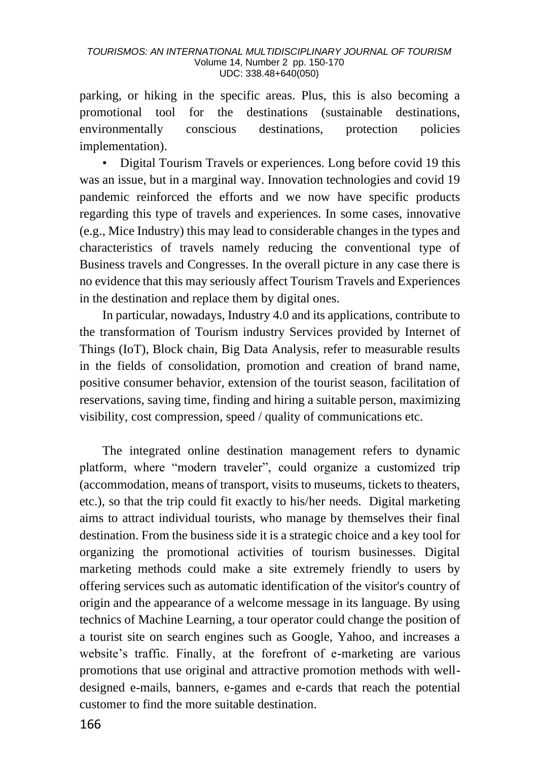parking, or hiking in the specific areas. Plus, this is also becoming a promotional tool for the destinations (sustainable destinations, environmentally conscious destinations, protection policies implementation).

• Digital Tourism Travels or experiences. Long before covid 19 this was an issue, but in a marginal way. Innovation technologies and covid 19 pandemic reinforced the efforts and we now have specific products regarding this type of travels and experiences. In some cases, innovative (e.g., Mice Industry) this may lead to considerable changes in the types and characteristics of travels namely reducing the conventional type of Business travels and Congresses. In the overall picture in any case there is no evidence that this may seriously affect Tourism Travels and Experiences in the destination and replace them by digital ones.

In particular, nowadays, Industry 4.0 and its applications, contribute to the transformation of Tourism industry Services provided by Internet of Things (IoT), Block chain, Big Data Analysis, refer to measurable results in the fields of consolidation, promotion and creation of brand name, positive consumer behavior, extension of the tourist season, facilitation of reservations, saving time, finding and hiring a suitable person, maximizing visibility, cost compression, speed / quality of communications etc.

The integrated online destination management refers to dynamic platform, where "modern traveler", could organize a customized trip (accommodation, means of transport, visits to museums, tickets to theaters, etc.), so that the trip could fit exactly to his/her needs. Digital marketing aims to attract individual tourists, who manage by themselves their final destination. From the business side it is a strategic choice and a key tool for organizing the promotional activities of tourism businesses. Digital marketing methods could make a site extremely friendly to users by offering services such as automatic identification of the visitor's country of origin and the appearance of a welcome message in its language. By using technics of Machine Learning, a tour operator could change the position of a tourist site on search engines such as Google, Yahoo, and increases a website's traffic. Finally, at the forefront of e-marketing are various promotions that use original and attractive promotion methods with welldesigned e-mails, banners, e-games and e-cards that reach the potential customer to find the more suitable destination.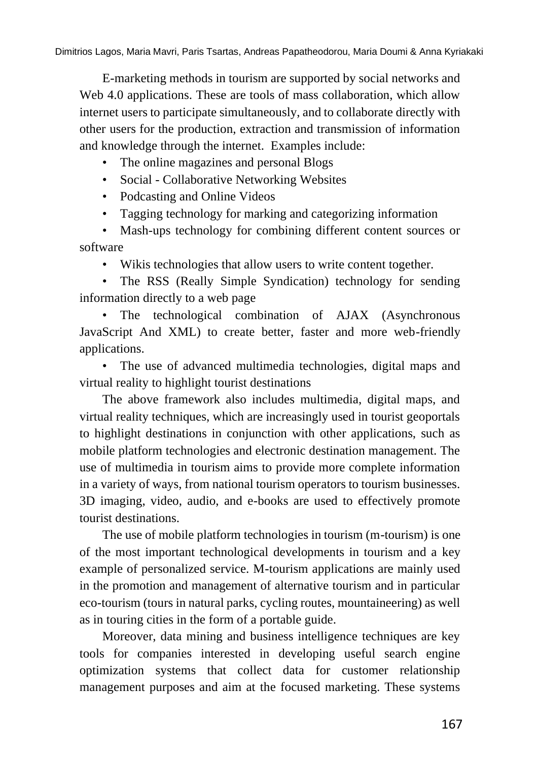E-marketing methods in tourism are supported by social networks and Web 4.0 applications. These are tools of mass collaboration, which allow internet users to participate simultaneously, and to collaborate directly with other users for the production, extraction and transmission of information and knowledge through the internet. Examples include:

- The online magazines and personal Blogs
- Social Collaborative Networking Websites
- Podcasting and Online Videos
- Tagging technology for marking and categorizing information

• Mash-ups technology for combining different content sources or software

• Wikis technologies that allow users to write content together.

• The RSS (Really Simple Syndication) technology for sending information directly to a web page

• The technological combination of AJAX (Asynchronous JavaScript And XML) to create better, faster and more web-friendly applications.

• The use of advanced multimedia technologies, digital maps and virtual reality to highlight tourist destinations

The above framework also includes multimedia, digital maps, and virtual reality techniques, which are increasingly used in tourist geoportals to highlight destinations in conjunction with other applications, such as mobile platform technologies and electronic destination management. The use of multimedia in tourism aims to provide more complete information in a variety of ways, from national tourism operators to tourism businesses. 3D imaging, video, audio, and e-books are used to effectively promote tourist destinations.

The use of mobile platform technologies in tourism (m-tourism) is one of the most important technological developments in tourism and a key example of personalized service. M-tourism applications are mainly used in the promotion and management of alternative tourism and in particular eco-tourism (tours in natural parks, cycling routes, mountaineering) as well as in touring cities in the form of a portable guide.

Moreover, data mining and business intelligence techniques are key tools for companies interested in developing useful search engine optimization systems that collect data for customer relationship management purposes and aim at the focused marketing. These systems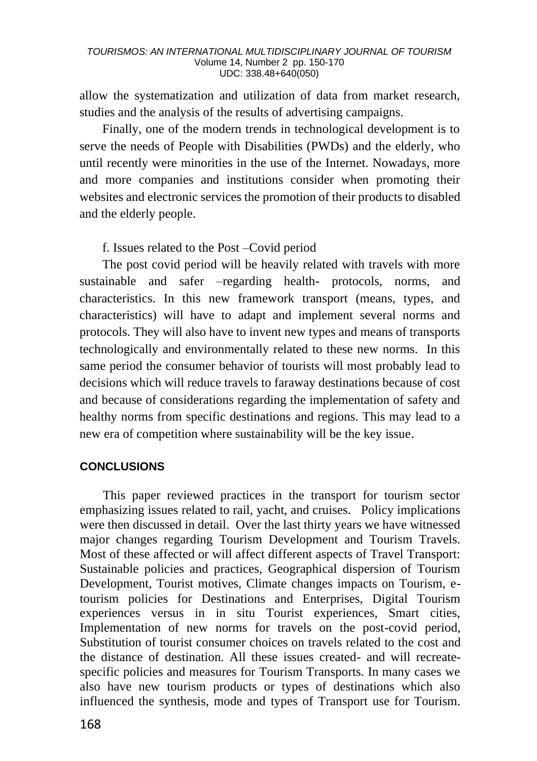allow the systematization and utilization of data from market research, studies and the analysis of the results of advertising campaigns.

Finally, one of the modern trends in technological development is to serve the needs of People with Disabilities (PWDs) and the elderly, who until recently were minorities in the use of the Internet. Nowadays, more and more companies and institutions consider when promoting their websites and electronic services the promotion of their products to disabled and the elderly people.

## f. Issues related to the Post –Covid period

The post covid period will be heavily related with travels with more sustainable and safer –regarding health- protocols, norms, and characteristics. In this new framework transport (means, types, and characteristics) will have to adapt and implement several norms and protocols. They will also have to invent new types and means of transports technologically and environmentally related to these new norms. In this same period the consumer behavior of tourists will most probably lead to decisions which will reduce travels to faraway destinations because of cost and because of considerations regarding the implementation of safety and healthy norms from specific destinations and regions. This may lead to a new era of competition where sustainability will be the key issue.

### **CONCLUSIONS**

This paper reviewed practices in the transport for tourism sector emphasizing issues related to rail, yacht, and cruises. Policy implications were then discussed in detail. Over the last thirty years we have witnessed major changes regarding Tourism Development and Tourism Travels. Most of these affected or will affect different aspects of Travel Transport: Sustainable policies and practices, Geographical dispersion of Tourism Development, Tourist motives, Climate changes impacts on Tourism, etourism policies for Destinations and Enterprises, Digital Tourism experiences versus in in situ Tourist experiences, Smart cities, Implementation of new norms for travels on the post-covid period, Substitution of tourist consumer choices on travels related to the cost and the distance of destination. All these issues created- and will recreatespecific policies and measures for Tourism Transports. In many cases we also have new tourism products or types of destinations which also influenced the synthesis, mode and types of Transport use for Tourism.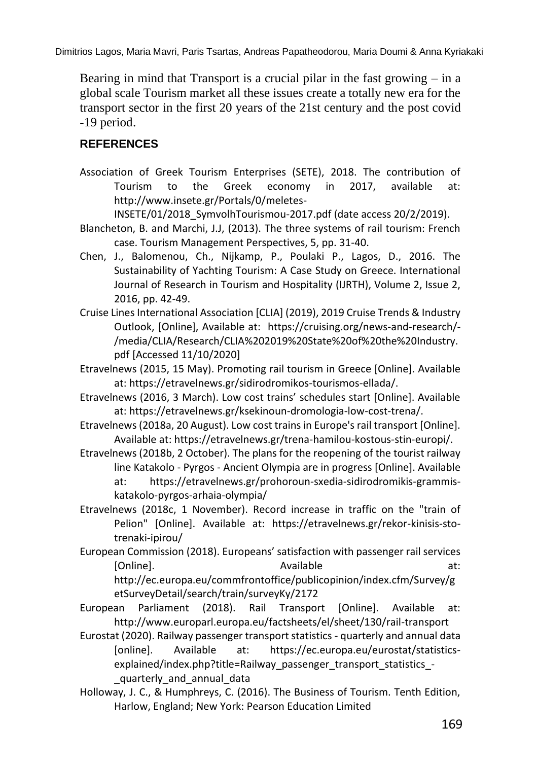Dimitrios Lagos, Maria Mavri, Paris Tsartas, Andreas Papatheodorou, Maria Doumi & Anna Kyriakaki

Bearing in mind that Transport is a crucial pilar in the fast growing  $-$  in a global scale Tourism market all these issues create a totally new era for the transport sector in the first 20 years of the 21st century and the post covid -19 period.

### **REFERENCES**

Association of Greek Tourism Enterprises (SETE), 2018. The contribution of Tourism to the Greek economy in 2017, available at: http://www.insete.gr/Portals/0/meletes-

INSETE/01/2018\_SymvolhTourismou-2017.pdf (date access 20/2/2019).

- Blancheton, Β. and Marchi, J.J, (2013). The three systems of rail tourism: French case. Tourism Management Perspectives, 5, pp. 31-40.
- Chen, J., Balomenou, Ch., Nijkamp, P., Poulaki P., Lagos, D., 2016. The Sustainability of Yachting Tourism: A Case Study on Greece. International Journal of Research in Tourism and Hospitality (IJRTH), Volume 2, Issue 2, 2016, pp. 42-49.
- Cruise Lines International Association [CLIA] (2019), 2019 Cruise Trends & Industry Outlook, [Online], Available at: https://cruising.org/news-and-research/- /media/CLIA/Research/CLIA%202019%20State%20of%20the%20Industry. pdf [Accessed 11/10/2020]

Etravelnews (2015, 15 May). Promoting rail tourism in Greece [Online]. Available at: https://etravelnews.gr/sidirodromikos-tourismos-ellada/.

- Etravelnews (2016, 3 March). Low cost trains' schedules start [Online]. Available at: https://etravelnews.gr/ksekinoun-dromologia-low-cost-trena/.
- Etravelnews (2018a, 20 August). Low cost trains in Europe's rail transport [Online]. Available at: https://etravelnews.gr/trena-hamilou-kostous-stin-europi/.
- Etravelnews (2018b, 2 October). The plans for the reopening of the tourist railway line Katakolo - Pyrgos - Ancient Olympia are in progress [Online]. Available at: https://etravelnews.gr/prohoroun-sxedia-sidirodromikis-grammiskatakolo-pyrgos-arhaia-olympia/
- Etravelnews (2018c, 1 November). Record increase in traffic on the "train of Pelion" [Online]. Available at: https://etravelnews.gr/rekor-kinisis-stotrenaki-ipirou/
- European Commission (2018). Europeans' satisfaction with passenger rail services [Online]. at: Available at: Available at: http://ec.europa.eu/commfrontoffice/publicopinion/index.cfm/Survey/g etSurveyDetail/search/train/surveyKy/2172
- European Parliament (2018). Rail Transport [Online]. Available at: http://www.europarl.europa.eu/factsheets/el/sheet/130/rail-transport
- Eurostat (2020). Railway passenger transport statistics quarterly and annual data [online]. Available at: https://ec.europa.eu/eurostat/statisticsexplained/index.php?title=Railway\_passenger\_transport\_statistics -\_quarterly\_and\_annual\_data
- Holloway, J. C., & Humphreys, C. (2016). The Business of Tourism. Tenth Edition, Harlow, England; New York: Pearson Education Limited